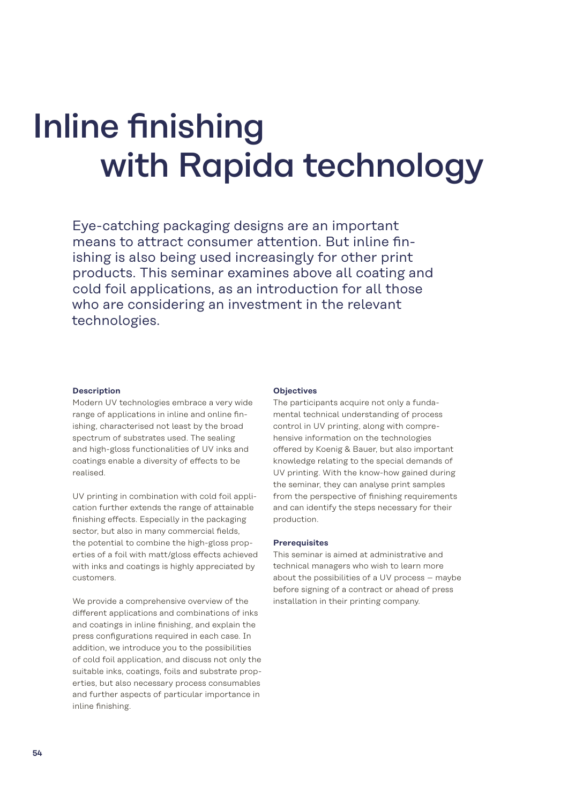# Inline finishing with Rapida technology

Eye-catching packaging designs are an important means to attract consumer attention. But inline finishing is also being used increasingly for other print products. This seminar examines above all coating and cold foil applications, as an introduction for all those who are considering an investment in the relevant technologies.

#### **Description**

Modern UV technologies embrace a very wide range of applications in inline and online finishing, characterised not least by the broad spectrum of substrates used. The sealing and high-gloss functionalities of UV inks and coatings enable a diversity of effects to be realised.

UV printing in combination with cold foil application further extends the range of attainable finishing effects. Especially in the packaging sector, but also in many commercial fields, the potential to combine the high-gloss properties of a foil with matt/gloss effects achieved with inks and coatings is highly appreciated by customers.

We provide a comprehensive overview of the different applications and combinations of inks and coatings in inline finishing, and explain the press configurations required in each case. In addition, we introduce you to the possibilities of cold foil application, and discuss not only the suitable inks, coatings, foils and substrate properties, but also necessary process consumables and further aspects of particular importance in inline finishing.

#### **Objectives**

The participants acquire not only a fundamental technical understanding of process control in UV printing, along with comprehensive information on the technologies offered by Koenig & Bauer, but also important knowledge relating to the special demands of UV printing. With the know-how gained during the seminar, they can analyse print samples from the perspective of finishing requirements and can identify the steps necessary for their production.

#### **Prerequisites**

This seminar is aimed at administrative and technical managers who wish to learn more about the possibilities of a UV process – maybe before signing of a contract or ahead of press installation in their printing company.